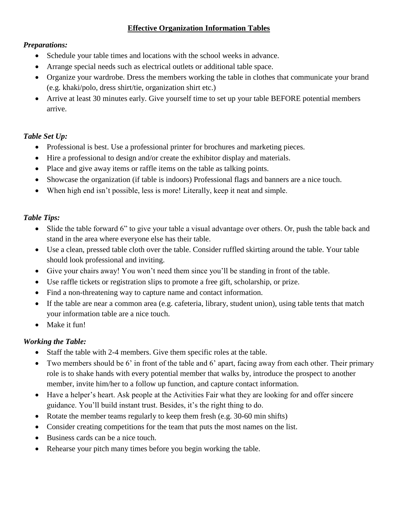## **Effective Organization Information Tables**

### *Preparations:*

- Schedule your table times and locations with the school weeks in advance.
- Arrange special needs such as electrical outlets or additional table space.
- Organize your wardrobe. Dress the members working the table in clothes that communicate your brand (e.g. khaki/polo, dress shirt/tie, organization shirt etc.)
- Arrive at least 30 minutes early. Give yourself time to set up your table BEFORE potential members arrive.

## *Table Set Up:*

- Professional is best. Use a professional printer for brochures and marketing pieces.
- Hire a professional to design and/or create the exhibitor display and materials.
- Place and give away items or raffle items on the table as talking points.
- Showcase the organization (if table is indoors) Professional flags and banners are a nice touch.
- When high end isn't possible, less is more! Literally, keep it neat and simple.

#### *Table Tips:*

- Slide the table forward 6" to give your table a visual advantage over others. Or, push the table back and stand in the area where everyone else has their table.
- Use a clean, pressed table cloth over the table. Consider ruffled skirting around the table. Your table should look professional and inviting.
- Give your chairs away! You won't need them since you'll be standing in front of the table.
- Use raffle tickets or registration slips to promote a free gift, scholarship, or prize.
- Find a non-threatening way to capture name and contact information.
- If the table are near a common area (e.g. cafeteria, library, student union), using table tents that match your information table are a nice touch.
- Make it fun!

## *Working the Table:*

- Staff the table with 2-4 members. Give them specific roles at the table.
- Two members should be 6' in front of the table and 6' apart, facing away from each other. Their primary role is to shake hands with every potential member that walks by, introduce the prospect to another member, invite him/her to a follow up function, and capture contact information.
- Have a helper's heart. Ask people at the Activities Fair what they are looking for and offer sincere guidance. You'll build instant trust. Besides, it's the right thing to do.
- Rotate the member teams regularly to keep them fresh (e.g. 30-60 min shifts)
- Consider creating competitions for the team that puts the most names on the list.
- Business cards can be a nice touch.
- Rehearse your pitch many times before you begin working the table.